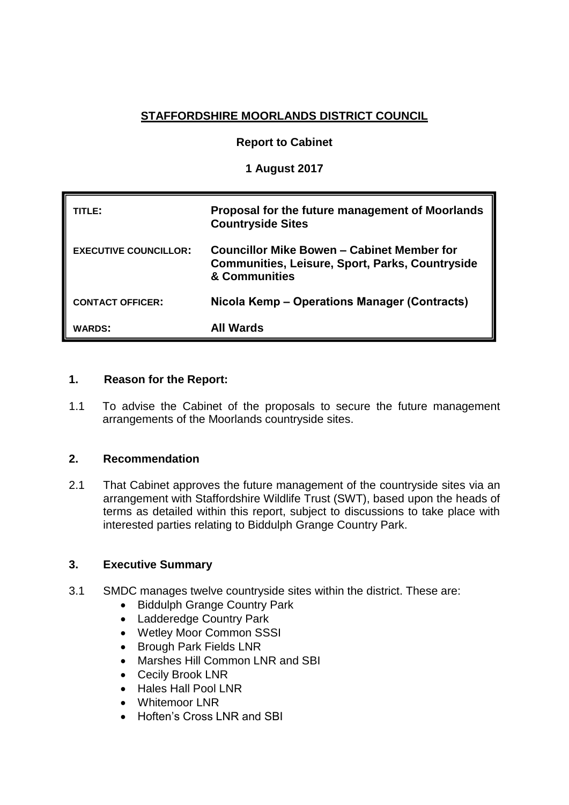# **STAFFORDSHIRE MOORLANDS DISTRICT COUNCIL**

### **Report to Cabinet**

### **1 August 2017**

| TITLE:                       | Proposal for the future management of Moorlands<br><b>Countryside Sites</b>                                           |  |
|------------------------------|-----------------------------------------------------------------------------------------------------------------------|--|
| <b>EXECUTIVE COUNCILLOR:</b> | Councillor Mike Bowen – Cabinet Member for<br><b>Communities, Leisure, Sport, Parks, Countryside</b><br>& Communities |  |
| <b>CONTACT OFFICER:</b>      | Nicola Kemp – Operations Manager (Contracts)                                                                          |  |
| <b>WARDS:</b>                | All Wards                                                                                                             |  |

#### **1. Reason for the Report:**

1.1 To advise the Cabinet of the proposals to secure the future management arrangements of the Moorlands countryside sites.

### **2. Recommendation**

2.1 That Cabinet approves the future management of the countryside sites via an arrangement with Staffordshire Wildlife Trust (SWT), based upon the heads of terms as detailed within this report, subject to discussions to take place with interested parties relating to Biddulph Grange Country Park.

#### **3. Executive Summary**

- 3.1 SMDC manages twelve countryside sites within the district. These are:
	- Biddulph Grange Country Park
	- Ladderedge Country Park
	- Wetley Moor Common SSSI
	- Brough Park Fields LNR
	- Marshes Hill Common LNR and SBI
	- Cecily Brook LNR
	- Hales Hall Pool LNR
	- Whitemoor LNR
	- Hoften's Cross LNR and SBI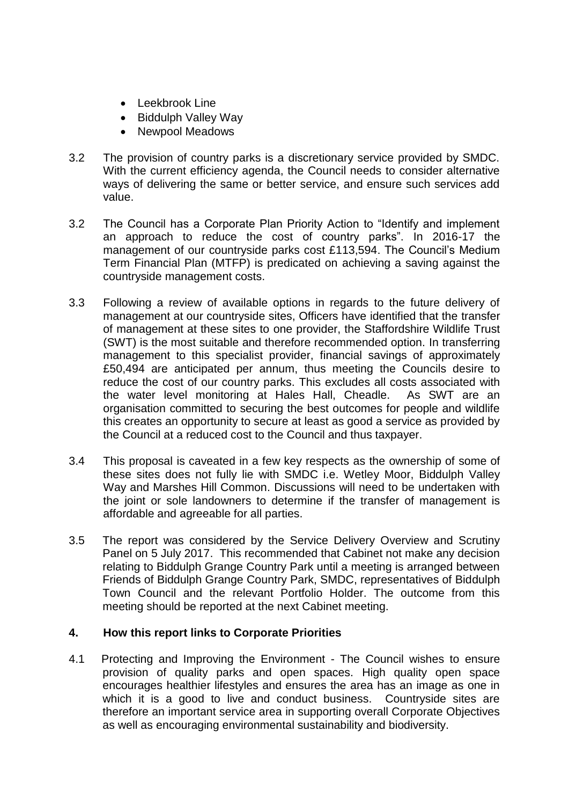- Leekbrook Line
- Biddulph Valley Way
- Newpool Meadows
- 3.2 The provision of country parks is a discretionary service provided by SMDC. With the current efficiency agenda, the Council needs to consider alternative ways of delivering the same or better service, and ensure such services add value.
- 3.2 The Council has a Corporate Plan Priority Action to "Identify and implement an approach to reduce the cost of country parks". In 2016-17 the management of our countryside parks cost £113,594. The Council's Medium Term Financial Plan (MTFP) is predicated on achieving a saving against the countryside management costs.
- 3.3 Following a review of available options in regards to the future delivery of management at our countryside sites, Officers have identified that the transfer of management at these sites to one provider, the Staffordshire Wildlife Trust (SWT) is the most suitable and therefore recommended option. In transferring management to this specialist provider, financial savings of approximately £50,494 are anticipated per annum, thus meeting the Councils desire to reduce the cost of our country parks. This excludes all costs associated with the water level monitoring at Hales Hall, Cheadle. As SWT are an organisation committed to securing the best outcomes for people and wildlife this creates an opportunity to secure at least as good a service as provided by the Council at a reduced cost to the Council and thus taxpayer.
- 3.4 This proposal is caveated in a few key respects as the ownership of some of these sites does not fully lie with SMDC i.e. Wetley Moor, Biddulph Valley Way and Marshes Hill Common. Discussions will need to be undertaken with the joint or sole landowners to determine if the transfer of management is affordable and agreeable for all parties.
- 3.5 The report was considered by the Service Delivery Overview and Scrutiny Panel on 5 July 2017. This recommended that Cabinet not make any decision relating to Biddulph Grange Country Park until a meeting is arranged between Friends of Biddulph Grange Country Park, SMDC, representatives of Biddulph Town Council and the relevant Portfolio Holder. The outcome from this meeting should be reported at the next Cabinet meeting.

## **4. How this report links to Corporate Priorities**

4.1 Protecting and Improving the Environment - The Council wishes to ensure provision of quality parks and open spaces. High quality open space encourages healthier lifestyles and ensures the area has an image as one in which it is a good to live and conduct business. Countryside sites are therefore an important service area in supporting overall Corporate Objectives as well as encouraging environmental sustainability and biodiversity.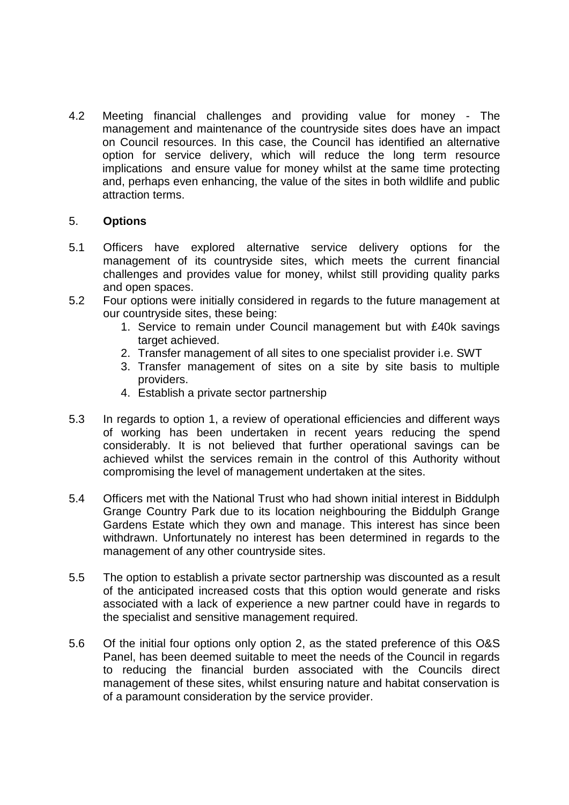4.2 Meeting financial challenges and providing value for money - The management and maintenance of the countryside sites does have an impact on Council resources. In this case, the Council has identified an alternative option for service delivery, which will reduce the long term resource implications and ensure value for money whilst at the same time protecting and, perhaps even enhancing, the value of the sites in both wildlife and public attraction terms.

#### 5. **Options**

- 5.1 Officers have explored alternative service delivery options for the management of its countryside sites, which meets the current financial challenges and provides value for money, whilst still providing quality parks and open spaces.
- 5.2 Four options were initially considered in regards to the future management at our countryside sites, these being:
	- 1. Service to remain under Council management but with £40k savings target achieved.
	- 2. Transfer management of all sites to one specialist provider i.e. SWT
	- 3. Transfer management of sites on a site by site basis to multiple providers.
	- 4. Establish a private sector partnership
- 5.3 In regards to option 1, a review of operational efficiencies and different ways of working has been undertaken in recent years reducing the spend considerably. It is not believed that further operational savings can be achieved whilst the services remain in the control of this Authority without compromising the level of management undertaken at the sites.
- 5.4 Officers met with the National Trust who had shown initial interest in Biddulph Grange Country Park due to its location neighbouring the Biddulph Grange Gardens Estate which they own and manage. This interest has since been withdrawn. Unfortunately no interest has been determined in regards to the management of any other countryside sites.
- 5.5 The option to establish a private sector partnership was discounted as a result of the anticipated increased costs that this option would generate and risks associated with a lack of experience a new partner could have in regards to the specialist and sensitive management required.
- 5.6 Of the initial four options only option 2, as the stated preference of this O&S Panel, has been deemed suitable to meet the needs of the Council in regards to reducing the financial burden associated with the Councils direct management of these sites, whilst ensuring nature and habitat conservation is of a paramount consideration by the service provider.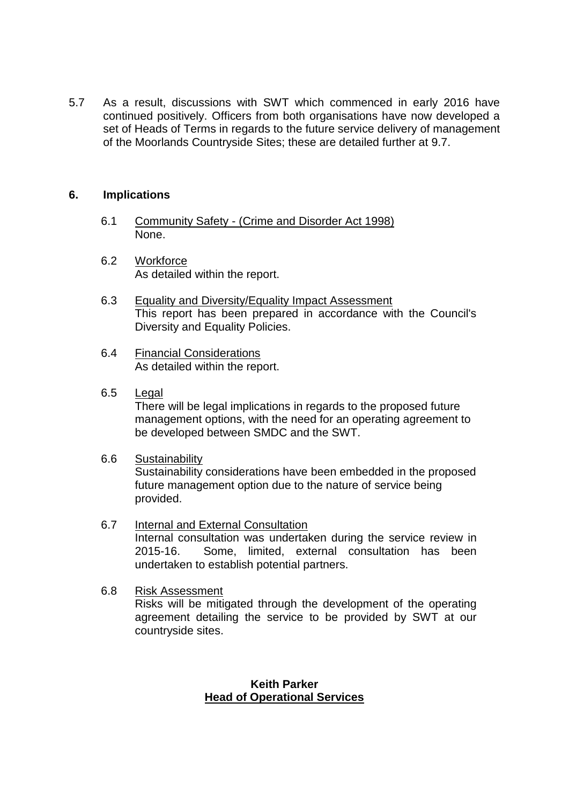5.7 As a result, discussions with SWT which commenced in early 2016 have continued positively. Officers from both organisations have now developed a set of Heads of Terms in regards to the future service delivery of management of the Moorlands Countryside Sites; these are detailed further at 9.7.

### **6. Implications**

- 6.1 Community Safety (Crime and Disorder Act 1998) None.
- 6.2 Workforce As detailed within the report.
- 6.3 Equality and Diversity/Equality Impact Assessment This report has been prepared in accordance with the Council's Diversity and Equality Policies.
- 6.4 Financial Considerations As detailed within the report.
- 6.5 Legal There will be legal implications in regards to the proposed future management options, with the need for an operating agreement to be developed between SMDC and the SWT.
- 6.6 Sustainability Sustainability considerations have been embedded in the proposed future management option due to the nature of service being provided.
- 6.7 Internal and External Consultation Internal consultation was undertaken during the service review in 2015-16. Some, limited, external consultation has been undertaken to establish potential partners.
- 6.8 Risk Assessment Risks will be mitigated through the development of the operating agreement detailing the service to be provided by SWT at our countryside sites.

#### **Keith Parker Head of Operational Services**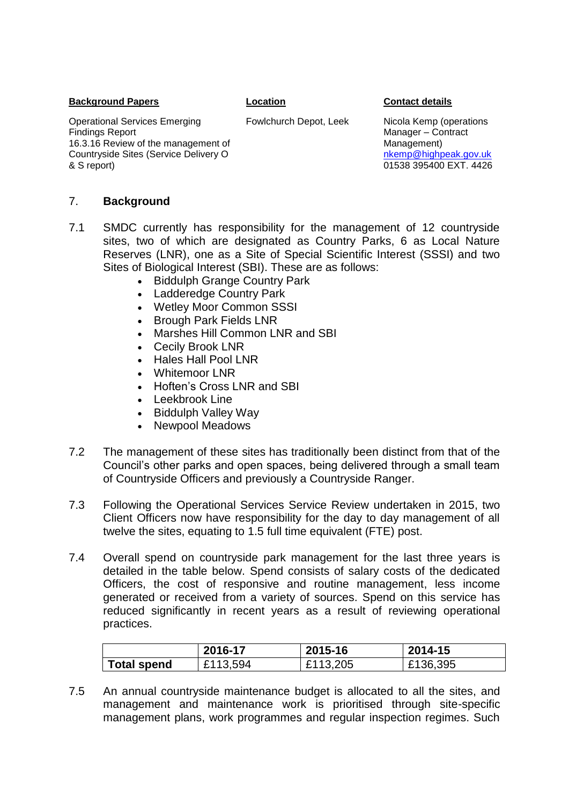#### **Background Papers Location Contact details**

Operational Services Emerging Findings Report 16.3.16 Review of the management of Countryside Sites (Service Delivery O & S report)

Fowlchurch Depot, Leek Nicola Kemp (operations Manager – Contract Management) [nkemp@highpeak.gov.uk](mailto:nkemp@highpeak.gov.uk) 01538 395400 EXT. 4426

#### 7. **Background**

- 7.1 SMDC currently has responsibility for the management of 12 countryside sites, two of which are designated as Country Parks, 6 as Local Nature Reserves (LNR), one as a Site of Special Scientific Interest (SSSI) and two Sites of Biological Interest (SBI). These are as follows:
	- Biddulph Grange Country Park
	- Ladderedge Country Park
	- Wetley Moor Common SSSI
	- Brough Park Fields LNR
	- Marshes Hill Common LNR and SBI
	- Cecily Brook LNR
	- Hales Hall Pool LNR
	- Whitemoor I NR
	- Hoften's Cross LNR and SBI
	- Leekbrook Line
	- Biddulph Valley Way
	- Newpool Meadows
- 7.2 The management of these sites has traditionally been distinct from that of the Council's other parks and open spaces, being delivered through a small team of Countryside Officers and previously a Countryside Ranger.
- 7.3 Following the Operational Services Service Review undertaken in 2015, two Client Officers now have responsibility for the day to day management of all twelve the sites, equating to 1.5 full time equivalent (FTE) post.
- 7.4 Overall spend on countryside park management for the last three years is detailed in the table below. Spend consists of salary costs of the dedicated Officers, the cost of responsive and routine management, less income generated or received from a variety of sources. Spend on this service has reduced significantly in recent years as a result of reviewing operational practices.

|                    | 2016-17  | 2015-16  | 2014-15  |
|--------------------|----------|----------|----------|
| <b>Total spend</b> | £113,594 | £113,205 | £136,395 |

7.5 An annual countryside maintenance budget is allocated to all the sites, and management and maintenance work is prioritised through site-specific management plans, work programmes and regular inspection regimes. Such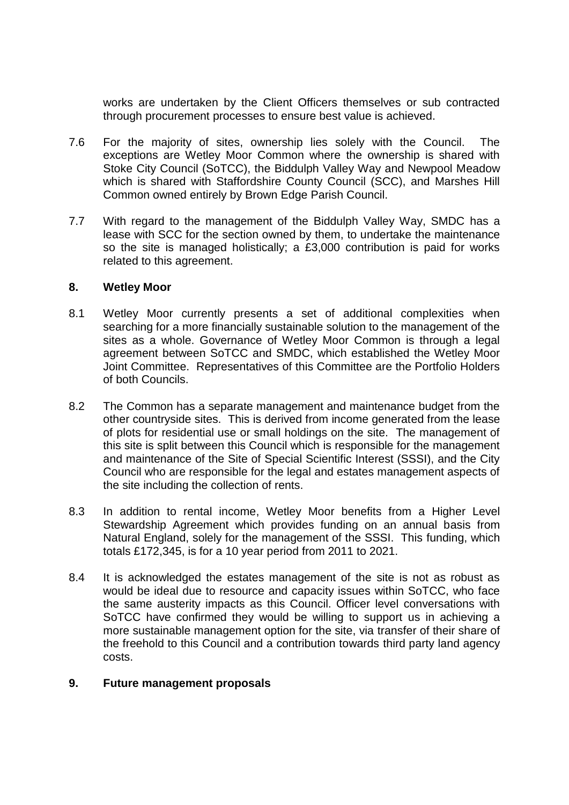works are undertaken by the Client Officers themselves or sub contracted through procurement processes to ensure best value is achieved.

- 7.6 For the majority of sites, ownership lies solely with the Council. The exceptions are Wetley Moor Common where the ownership is shared with Stoke City Council (SoTCC), the Biddulph Valley Way and Newpool Meadow which is shared with Staffordshire County Council (SCC), and Marshes Hill Common owned entirely by Brown Edge Parish Council.
- 7.7 With regard to the management of the Biddulph Valley Way, SMDC has a lease with SCC for the section owned by them, to undertake the maintenance so the site is managed holistically; a £3,000 contribution is paid for works related to this agreement.

#### **8. Wetley Moor**

- 8.1 Wetley Moor currently presents a set of additional complexities when searching for a more financially sustainable solution to the management of the sites as a whole. Governance of Wetley Moor Common is through a legal agreement between SoTCC and SMDC, which established the Wetley Moor Joint Committee. Representatives of this Committee are the Portfolio Holders of both Councils.
- 8.2 The Common has a separate management and maintenance budget from the other countryside sites. This is derived from income generated from the lease of plots for residential use or small holdings on the site. The management of this site is split between this Council which is responsible for the management and maintenance of the Site of Special Scientific Interest (SSSI), and the City Council who are responsible for the legal and estates management aspects of the site including the collection of rents.
- 8.3 In addition to rental income, Wetley Moor benefits from a Higher Level Stewardship Agreement which provides funding on an annual basis from Natural England, solely for the management of the SSSI. This funding, which totals £172,345, is for a 10 year period from 2011 to 2021.
- 8.4 It is acknowledged the estates management of the site is not as robust as would be ideal due to resource and capacity issues within SoTCC, who face the same austerity impacts as this Council. Officer level conversations with SoTCC have confirmed they would be willing to support us in achieving a more sustainable management option for the site, via transfer of their share of the freehold to this Council and a contribution towards third party land agency costs.

#### **9. Future management proposals**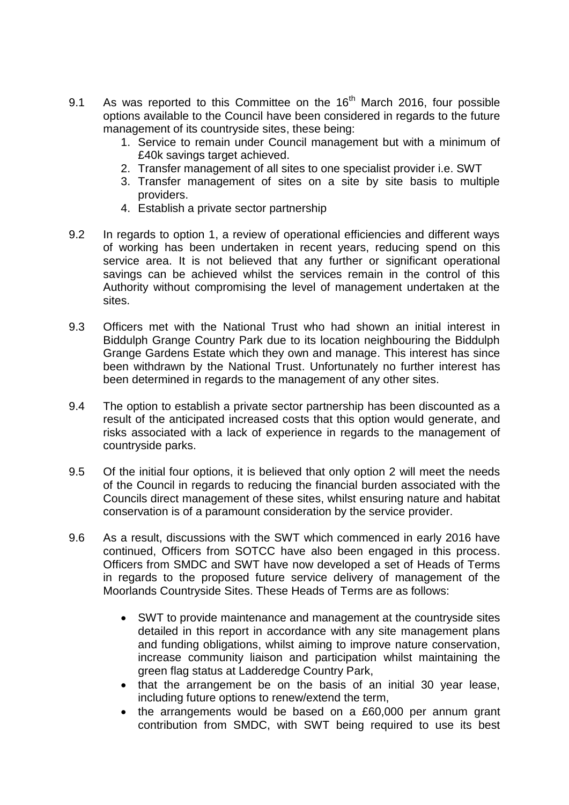- 9.1 As was reported to this Committee on the  $16<sup>th</sup>$  March 2016, four possible options available to the Council have been considered in regards to the future management of its countryside sites, these being:
	- 1. Service to remain under Council management but with a minimum of £40k savings target achieved.
	- 2. Transfer management of all sites to one specialist provider i.e. SWT
	- 3. Transfer management of sites on a site by site basis to multiple providers.
	- 4. Establish a private sector partnership
- 9.2 In regards to option 1, a review of operational efficiencies and different ways of working has been undertaken in recent years, reducing spend on this service area. It is not believed that any further or significant operational savings can be achieved whilst the services remain in the control of this Authority without compromising the level of management undertaken at the sites.
- 9.3 Officers met with the National Trust who had shown an initial interest in Biddulph Grange Country Park due to its location neighbouring the Biddulph Grange Gardens Estate which they own and manage. This interest has since been withdrawn by the National Trust. Unfortunately no further interest has been determined in regards to the management of any other sites.
- 9.4 The option to establish a private sector partnership has been discounted as a result of the anticipated increased costs that this option would generate, and risks associated with a lack of experience in regards to the management of countryside parks.
- 9.5 Of the initial four options, it is believed that only option 2 will meet the needs of the Council in regards to reducing the financial burden associated with the Councils direct management of these sites, whilst ensuring nature and habitat conservation is of a paramount consideration by the service provider.
- 9.6 As a result, discussions with the SWT which commenced in early 2016 have continued, Officers from SOTCC have also been engaged in this process. Officers from SMDC and SWT have now developed a set of Heads of Terms in regards to the proposed future service delivery of management of the Moorlands Countryside Sites. These Heads of Terms are as follows:
	- SWT to provide maintenance and management at the countryside sites detailed in this report in accordance with any site management plans and funding obligations, whilst aiming to improve nature conservation, increase community liaison and participation whilst maintaining the green flag status at Ladderedge Country Park,
	- that the arrangement be on the basis of an initial 30 year lease, including future options to renew/extend the term,
	- the arrangements would be based on a £60,000 per annum grant contribution from SMDC, with SWT being required to use its best